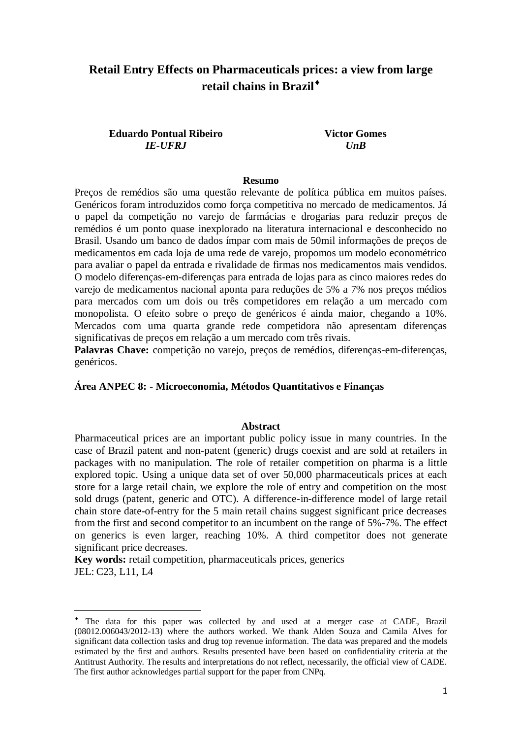# **Retail Entry Effects on Pharmaceuticals prices: a view from large retail chains in Brazil**

# **Eduardo Pontual Ribeiro** *IE-UFRJ*

**Victor Gomes** *UnB*

#### **Resumo**

Preços de remédios são uma questão relevante de política pública em muitos países. Genéricos foram introduzidos como força competitiva no mercado de medicamentos. Já o papel da competição no varejo de farmácias e drogarias para reduzir preços de remédios é um ponto quase inexplorado na literatura internacional e desconhecido no Brasil. Usando um banco de dados ímpar com mais de 50mil informações de preços de medicamentos em cada loja de uma rede de varejo, propomos um modelo econométrico para avaliar o papel da entrada e rivalidade de firmas nos medicamentos mais vendidos. O modelo diferenças-em-diferenças para entrada de lojas para as cinco maiores redes do varejo de medicamentos nacional aponta para reduções de 5% a 7% nos preços médios para mercados com um dois ou três competidores em relação a um mercado com monopolista. O efeito sobre o preço de genéricos é ainda maior, chegando a 10%. Mercados com uma quarta grande rede competidora não apresentam diferenças significativas de preços em relação a um mercado com três rivais.

Palavras Chave: competição no varejo, preços de remédios, diferenças-em-diferenças, genéricos.

#### **Área ANPEC 8: - Microeconomia, Métodos Quantitativos e Finanças**

#### **Abstract**

Pharmaceutical prices are an important public policy issue in many countries. In the case of Brazil patent and non-patent (generic) drugs coexist and are sold at retailers in packages with no manipulation. The role of retailer competition on pharma is a little explored topic. Using a unique data set of over 50,000 pharmaceuticals prices at each store for a large retail chain, we explore the role of entry and competition on the most sold drugs (patent, generic and OTC). A difference-in-difference model of large retail chain store date-of-entry for the 5 main retail chains suggest significant price decreases from the first and second competitor to an incumbent on the range of 5%-7%. The effect on generics is even larger, reaching 10%. A third competitor does not generate significant price decreases.

**Key words:** retail competition, pharmaceuticals prices, generics JEL: C23, L11, L4

The data for this paper was collected by and used at a merger case at CADE, Brazil (08012.006043/2012-13) where the authors worked. We thank Alden Souza and Camila Alves for significant data collection tasks and drug top revenue information. The data was prepared and the models estimated by the first and authors. Results presented have been based on confidentiality criteria at the Antitrust Authority. The results and interpretations do not reflect, necessarily, the official view of CADE. The first author acknowledges partial support for the paper from CNPq.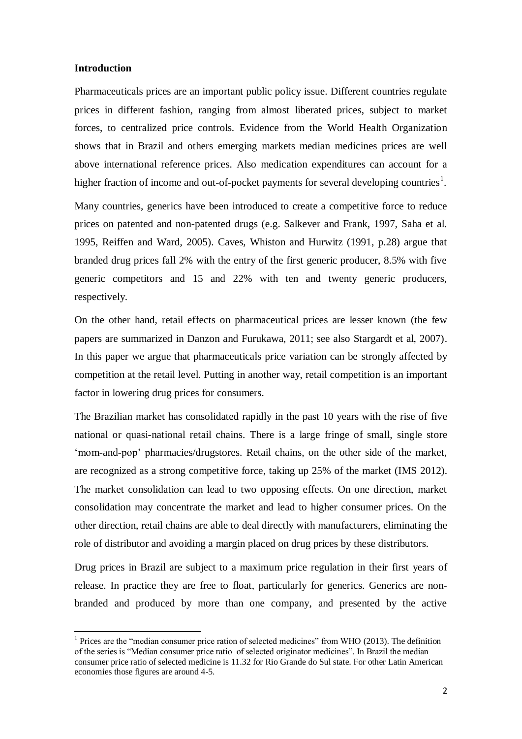#### **Introduction**

 $\overline{a}$ 

Pharmaceuticals prices are an important public policy issue. Different countries regulate prices in different fashion, ranging from almost liberated prices, subject to market forces, to centralized price controls. Evidence from the World Health Organization shows that in Brazil and others emerging markets median medicines prices are well above international reference prices. Also medication expenditures can account for a higher fraction of income and out-of-pocket payments for several developing countries<sup>1</sup>.

Many countries, generics have been introduced to create a competitive force to reduce prices on patented and non-patented drugs (e.g. Salkever and Frank, 1997, Saha et al. 1995, Reiffen and Ward, 2005). Caves, Whiston and Hurwitz (1991, p.28) argue that branded drug prices fall 2% with the entry of the first generic producer, 8.5% with five generic competitors and 15 and 22% with ten and twenty generic producers, respectively.

On the other hand, retail effects on pharmaceutical prices are lesser known (the few papers are summarized in Danzon and Furukawa, 2011; see also Stargardt et al, 2007). In this paper we argue that pharmaceuticals price variation can be strongly affected by competition at the retail level. Putting in another way, retail competition is an important factor in lowering drug prices for consumers.

The Brazilian market has consolidated rapidly in the past 10 years with the rise of five national or quasi-national retail chains. There is a large fringe of small, single store 'mom-and-pop' pharmacies/drugstores. Retail chains, on the other side of the market, are recognized as a strong competitive force, taking up 25% of the market (IMS 2012). The market consolidation can lead to two opposing effects. On one direction, market consolidation may concentrate the market and lead to higher consumer prices. On the other direction, retail chains are able to deal directly with manufacturers, eliminating the role of distributor and avoiding a margin placed on drug prices by these distributors.

Drug prices in Brazil are subject to a maximum price regulation in their first years of release. In practice they are free to float, particularly for generics. Generics are nonbranded and produced by more than one company, and presented by the active

<sup>&</sup>lt;sup>1</sup> Prices are the "median consumer price ration of selected medicines" from WHO (2013). The definition of the series is "Median consumer price ratio of selected originator medicines". In Brazil the median consumer price ratio of selected medicine is 11.32 for Rio Grande do Sul state. For other Latin American economies those figures are around 4-5.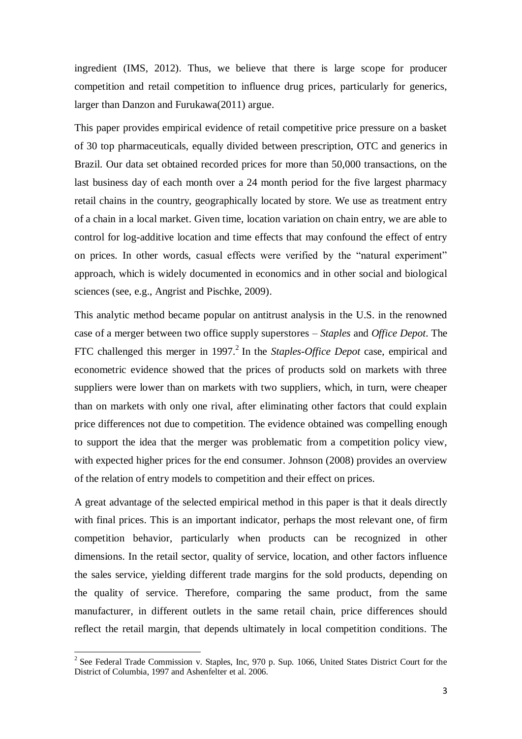ingredient (IMS, 2012). Thus, we believe that there is large scope for producer competition and retail competition to influence drug prices, particularly for generics, larger than Danzon and Furukawa(2011) argue.

This paper provides empirical evidence of retail competitive price pressure on a basket of 30 top pharmaceuticals, equally divided between prescription, OTC and generics in Brazil. Our data set obtained recorded prices for more than 50,000 transactions, on the last business day of each month over a 24 month period for the five largest pharmacy retail chains in the country, geographically located by store. We use as treatment entry of a chain in a local market. Given time, location variation on chain entry, we are able to control for log-additive location and time effects that may confound the effect of entry on prices. In other words, casual effects were verified by the "natural experiment" approach, which is widely documented in economics and in other social and biological sciences (see, e.g., Angrist and Pischke, 2009).

This analytic method became popular on antitrust analysis in the U.S. in the renowned case of a merger between two office supply superstores – *Staples* and *Office Depot*. The FTC challenged this merger in 1997. 2 In the *Staples*-*Office Depot* case, empirical and econometric evidence showed that the prices of products sold on markets with three suppliers were lower than on markets with two suppliers, which, in turn, were cheaper than on markets with only one rival, after eliminating other factors that could explain price differences not due to competition. The evidence obtained was compelling enough to support the idea that the merger was problematic from a competition policy view, with expected higher prices for the end consumer. Johnson (2008) provides an overview of the relation of entry models to competition and their effect on prices.

A great advantage of the selected empirical method in this paper is that it deals directly with final prices. This is an important indicator, perhaps the most relevant one, of firm competition behavior, particularly when products can be recognized in other dimensions. In the retail sector, quality of service, location, and other factors influence the sales service, yielding different trade margins for the sold products, depending on the quality of service. Therefore, comparing the same product, from the same manufacturer, in different outlets in the same retail chain, price differences should reflect the retail margin, that depends ultimately in local competition conditions. The

<sup>&</sup>lt;sup>2</sup> See Federal Trade Commission v. Staples, Inc, 970 p. Sup. 1066, United States District Court for the District of Columbia, 1997 and Ashenfelter et al. 2006.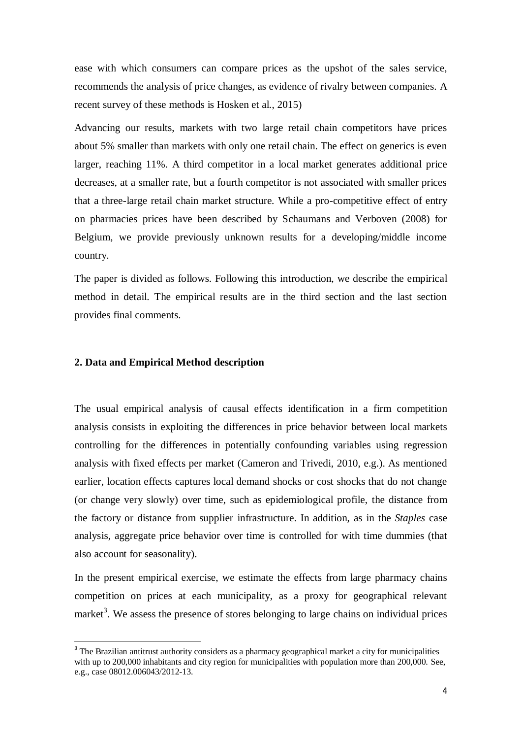ease with which consumers can compare prices as the upshot of the sales service, recommends the analysis of price changes, as evidence of rivalry between companies. A recent survey of these methods is Hosken et al., 2015)

Advancing our results, markets with two large retail chain competitors have prices about 5% smaller than markets with only one retail chain. The effect on generics is even larger, reaching 11%. A third competitor in a local market generates additional price decreases, at a smaller rate, but a fourth competitor is not associated with smaller prices that a three-large retail chain market structure. While a pro-competitive effect of entry on pharmacies prices have been described by Schaumans and Verboven (2008) for Belgium, we provide previously unknown results for a developing/middle income country.

The paper is divided as follows. Following this introduction, we describe the empirical method in detail. The empirical results are in the third section and the last section provides final comments.

### **2. Data and Empirical Method description**

 $\overline{a}$ 

The usual empirical analysis of causal effects identification in a firm competition analysis consists in exploiting the differences in price behavior between local markets controlling for the differences in potentially confounding variables using regression analysis with fixed effects per market (Cameron and Trivedi, 2010, e.g.). As mentioned earlier, location effects captures local demand shocks or cost shocks that do not change (or change very slowly) over time, such as epidemiological profile, the distance from the factory or distance from supplier infrastructure. In addition, as in the *Staples* case analysis, aggregate price behavior over time is controlled for with time dummies (that also account for seasonality).

In the present empirical exercise, we estimate the effects from large pharmacy chains competition on prices at each municipality, as a proxy for geographical relevant market<sup>3</sup>. We assess the presence of stores belonging to large chains on individual prices

<sup>&</sup>lt;sup>3</sup> The Brazilian antitrust authority considers as a pharmacy geographical market a city for municipalities with up to 200,000 inhabitants and city region for municipalities with population more than 200,000. See, e.g., case 08012.006043/2012-13.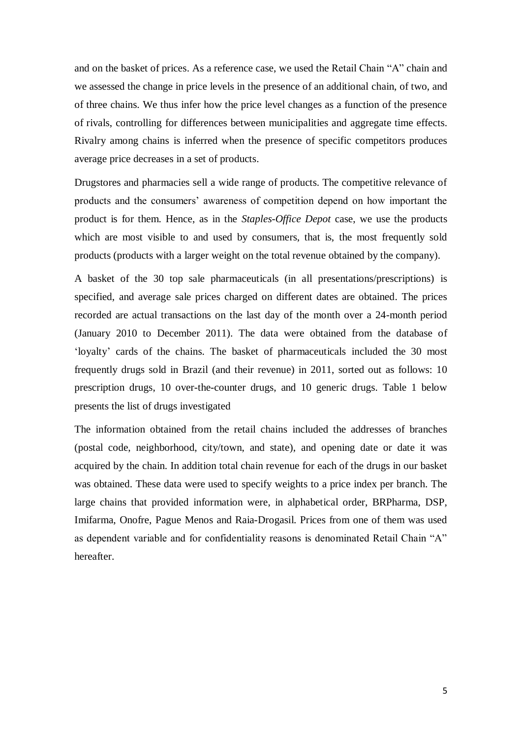and on the basket of prices. As a reference case, we used the Retail Chain "A" chain and we assessed the change in price levels in the presence of an additional chain, of two, and of three chains. We thus infer how the price level changes as a function of the presence of rivals, controlling for differences between municipalities and aggregate time effects. Rivalry among chains is inferred when the presence of specific competitors produces average price decreases in a set of products.

Drugstores and pharmacies sell a wide range of products. The competitive relevance of products and the consumers' awareness of competition depend on how important the product is for them. Hence, as in the *Staples-Office Depot* case, we use the products which are most visible to and used by consumers, that is, the most frequently sold products (products with a larger weight on the total revenue obtained by the company).

A basket of the 30 top sale pharmaceuticals (in all presentations/prescriptions) is specified, and average sale prices charged on different dates are obtained. The prices recorded are actual transactions on the last day of the month over a 24-month period (January 2010 to December 2011). The data were obtained from the database of 'loyalty' cards of the chains. The basket of pharmaceuticals included the 30 most frequently drugs sold in Brazil (and their revenue) in 2011, sorted out as follows: 10 prescription drugs, 10 over-the-counter drugs, and 10 generic drugs. Table 1 below presents the list of drugs investigated

The information obtained from the retail chains included the addresses of branches (postal code, neighborhood, city/town, and state), and opening date or date it was acquired by the chain. In addition total chain revenue for each of the drugs in our basket was obtained. These data were used to specify weights to a price index per branch. The large chains that provided information were, in alphabetical order, BRPharma, DSP, Imifarma, Onofre, Pague Menos and Raia-Drogasil. Prices from one of them was used as dependent variable and for confidentiality reasons is denominated Retail Chain "A" hereafter.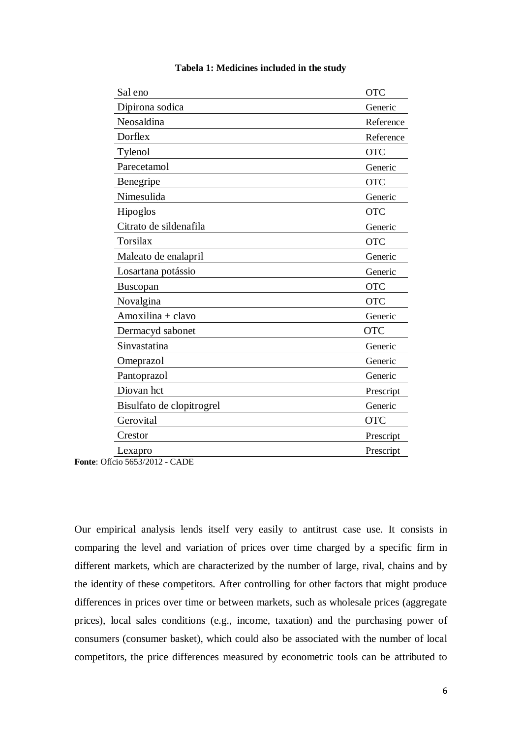| Sal eno                   | <b>OTC</b> |
|---------------------------|------------|
| Dipirona sodica           | Generic    |
| Neosaldina                | Reference  |
| Dorflex                   | Reference  |
| Tylenol                   | <b>OTC</b> |
| Parecetamol               | Generic    |
| Benegripe                 | <b>OTC</b> |
| Nimesulida                | Generic    |
| Hipoglos                  | <b>OTC</b> |
| Citrato de sildenafila    | Generic    |
| <b>Torsilax</b>           | <b>OTC</b> |
| Maleato de enalapril      | Generic    |
| Losartana potássio        | Generic    |
| Buscopan                  | <b>OTC</b> |
| Novalgina                 | <b>OTC</b> |
| Amoxilina + clavo         | Generic    |
| Dermacyd sabonet          | <b>OTC</b> |
| Sinvastatina              | Generic    |
| Omeprazol                 | Generic    |
| Pantoprazol               | Generic    |
| Diovan hct                | Prescript  |
| Bisulfato de clopitrogrel | Generic    |
| Gerovital                 | <b>OTC</b> |
| Crestor                   | Prescript  |
| Lexapro                   | Prescript  |

## **Tabela 1: Medicines included in the study**

**Fonte**: Ofício 5653/2012 - CADE

Our empirical analysis lends itself very easily to antitrust case use. It consists in comparing the level and variation of prices over time charged by a specific firm in different markets, which are characterized by the number of large, rival, chains and by the identity of these competitors. After controlling for other factors that might produce differences in prices over time or between markets, such as wholesale prices (aggregate prices), local sales conditions (e.g., income, taxation) and the purchasing power of consumers (consumer basket), which could also be associated with the number of local competitors, the price differences measured by econometric tools can be attributed to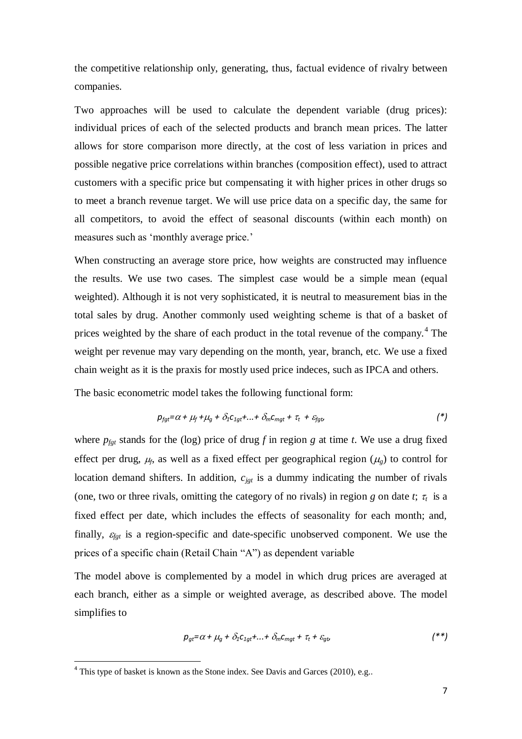the competitive relationship only, generating, thus, factual evidence of rivalry between companies.

Two approaches will be used to calculate the dependent variable (drug prices): individual prices of each of the selected products and branch mean prices. The latter allows for store comparison more directly, at the cost of less variation in prices and possible negative price correlations within branches (composition effect), used to attract customers with a specific price but compensating it with higher prices in other drugs so to meet a branch revenue target. We will use price data on a specific day, the same for all competitors, to avoid the effect of seasonal discounts (within each month) on measures such as 'monthly average price.'

When constructing an average store price, how weights are constructed may influence the results. We use two cases. The simplest case would be a simple mean (equal weighted). Although it is not very sophisticated, it is neutral to measurement bias in the total sales by drug. Another commonly used weighting scheme is that of a basket of prices weighted by the share of each product in the total revenue of the company.<sup>4</sup> The weight per revenue may vary depending on the month, year, branch, etc. We use a fixed chain weight as it is the praxis for mostly used price indeces, such as IPCA and others.

The basic econometric model takes the following functional form:

$$
p_{\text{fgt}} = \alpha + \mu_f + \mu_g + \delta_1 c_{1gt} + \ldots + \delta_m c_{mgt} + \tau_t + \varepsilon_{\text{fgt}} \tag{*}
$$

where  $p_{\text{fgt}}$  stands for the (log) price of drug *f* in region *g* at time *t*. We use a drug fixed effect per drug,  $\mu_f$ , as well as a fixed effect per geographical region ( $\mu_g$ ) to control for location demand shifters. In addition,  $c_{jgt}$  is a dummy indicating the number of rivals (one, two or three rivals, omitting the category of no rivals) in region *g* on date *t*;  $\tau_t$  is a fixed effect per date, which includes the effects of seasonality for each month; and, finally,  $\varepsilon_{fgt}$  is a region-specific and date-specific unobserved component. We use the prices of a specific chain (Retail Chain "A") as dependent variable

The model above is complemented by a model in which drug prices are averaged at each branch, either as a simple or weighted average, as described above. The model simplifies to

$$
p_{gt} = \alpha + \mu_g + \delta_1 c_{1gt} + \ldots + \delta_m c_{mgt} + \tau_t + \varepsilon_{gt} \tag{**}
$$

<sup>&</sup>lt;sup>4</sup> This type of basket is known as the Stone index. See Davis and Garces (2010), e.g..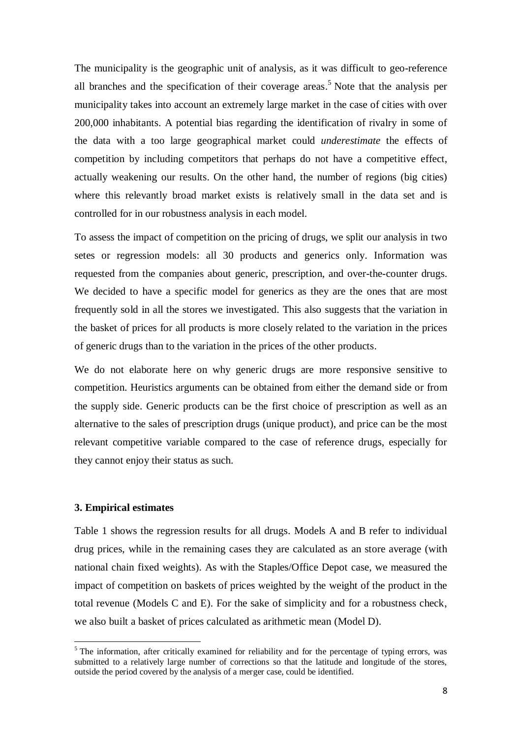The municipality is the geographic unit of analysis, as it was difficult to geo-reference all branches and the specification of their coverage areas. <sup>5</sup> Note that the analysis per municipality takes into account an extremely large market in the case of cities with over 200,000 inhabitants. A potential bias regarding the identification of rivalry in some of the data with a too large geographical market could *underestimate* the effects of competition by including competitors that perhaps do not have a competitive effect, actually weakening our results. On the other hand, the number of regions (big cities) where this relevantly broad market exists is relatively small in the data set and is controlled for in our robustness analysis in each model.

To assess the impact of competition on the pricing of drugs, we split our analysis in two setes or regression models: all 30 products and generics only. Information was requested from the companies about generic, prescription, and over-the-counter drugs. We decided to have a specific model for generics as they are the ones that are most frequently sold in all the stores we investigated. This also suggests that the variation in the basket of prices for all products is more closely related to the variation in the prices of generic drugs than to the variation in the prices of the other products.

We do not elaborate here on why generic drugs are more responsive sensitive to competition. Heuristics arguments can be obtained from either the demand side or from the supply side. Generic products can be the first choice of prescription as well as an alternative to the sales of prescription drugs (unique product), and price can be the most relevant competitive variable compared to the case of reference drugs, especially for they cannot enjoy their status as such.

## **3. Empirical estimates**

1

Table 1 shows the regression results for all drugs. Models A and B refer to individual drug prices, while in the remaining cases they are calculated as an store average (with national chain fixed weights). As with the Staples/Office Depot case, we measured the impact of competition on baskets of prices weighted by the weight of the product in the total revenue (Models C and E). For the sake of simplicity and for a robustness check, we also built a basket of prices calculated as arithmetic mean (Model D).

<sup>&</sup>lt;sup>5</sup> The information, after critically examined for reliability and for the percentage of typing errors, was submitted to a relatively large number of corrections so that the latitude and longitude of the stores, outside the period covered by the analysis of a merger case, could be identified.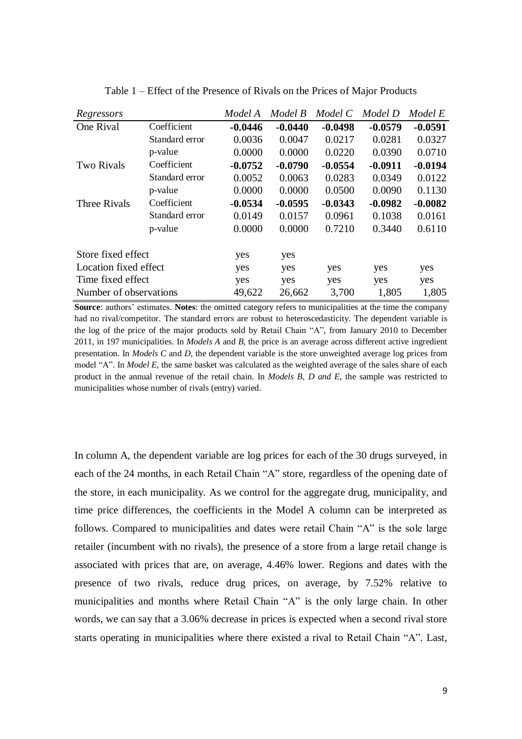| Regressors             |                | Model A   | Model B   | Model C   | Model D   | Model E   |
|------------------------|----------------|-----------|-----------|-----------|-----------|-----------|
| One Rival              | Coefficient    | $-0.0446$ | $-0.0440$ | $-0.0498$ | $-0.0579$ | $-0.0591$ |
|                        | Standard error | 0.0036    | 0.0047    | 0.0217    | 0.0281    | 0.0327    |
|                        | p-value        | 0.0000    | 0.0000    | 0.0220    | 0.0390    | 0.0710    |
| <b>Two Rivals</b>      | Coefficient    | $-0.0752$ | $-0.0790$ | $-0.0554$ | $-0.0911$ | $-0.0194$ |
|                        | Standard error | 0.0052    | 0.0063    | 0.0283    | 0.0349    | 0.0122    |
|                        | p-value        | 0.0000    | 0.0000    | 0.0500    | 0.0090    | 0.1130    |
| <b>Three Rivals</b>    | Coefficient    | $-0.0534$ | $-0.0595$ | $-0.0343$ | $-0.0982$ | $-0.0082$ |
|                        | Standard error | 0.0149    | 0.0157    | 0.0961    | 0.1038    | 0.0161    |
|                        | p-value        | 0.0000    | 0.0000    | 0.7210    | 0.3440    | 0.6110    |
| Store fixed effect     |                | yes       | yes       |           |           |           |
| Location fixed effect  |                | yes       | yes       | yes       | yes       | yes       |
| Time fixed effect      |                | yes       | yes       | yes       | yes       | yes       |
| Number of observations |                | 49,622    | 26,662    | 3,700     | 1,805     | 1,805     |

Table 1 – Effect of the Presence of Rivals on the Prices of Major Products

**Source**: authors' estimates. **Notes**: the omitted category refers to municipalities at the time the company had no rival/competitor. The standard errors are robust to heteroscedasticity. The dependent variable is the log of the price of the major products sold by Retail Chain "A", from January 2010 to December 2011, in 197 municipalities. In *Models A* and *B*, the price is an average across different active ingredient presentation. In *Models C* and *D*, the dependent variable is the store unweighted average log prices from model "A". In *Model E*, the same basket was calculated as the weighted average of the sales share of each product in the annual revenue of the retail chain. In *Models B, D and E*, the sample was restricted to municipalities whose number of rivals (entry) varied.

In column A, the dependent variable are log prices for each of the 30 drugs surveyed, in each of the 24 months, in each Retail Chain "A" store, regardless of the opening date of the store, in each municipality. As we control for the aggregate drug, municipality, and time price differences, the coefficients in the Model A column can be interpreted as follows. Compared to municipalities and dates were retail Chain "A" is the sole large retailer (incumbent with no rivals), the presence of a store from a large retail change is associated with prices that are, on average, 4.46% lower. Regions and dates with the presence of two rivals, reduce drug prices, on average, by 7.52% relative to municipalities and months where Retail Chain "A" is the only large chain. In other words, we can say that a 3.06% decrease in prices is expected when a second rival store starts operating in municipalities where there existed a rival to Retail Chain "A". Last,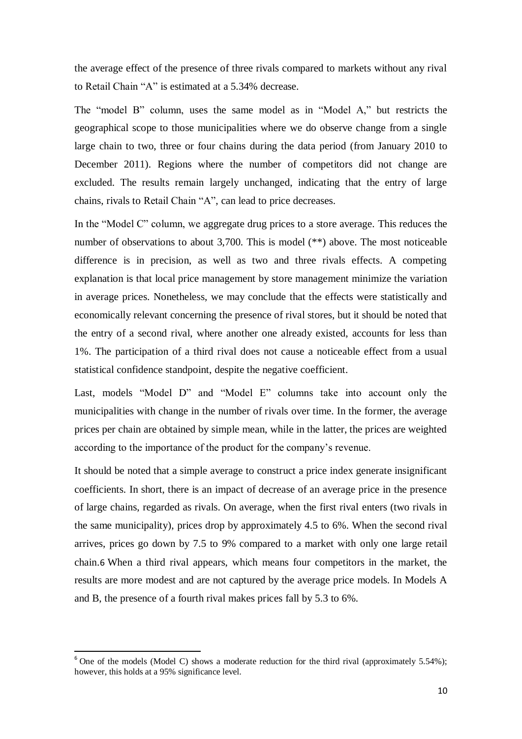the average effect of the presence of three rivals compared to markets without any rival to Retail Chain "A" is estimated at a 5.34% decrease.

The "model B" column, uses the same model as in "Model A," but restricts the geographical scope to those municipalities where we do observe change from a single large chain to two, three or four chains during the data period (from January 2010 to December 2011). Regions where the number of competitors did not change are excluded. The results remain largely unchanged, indicating that the entry of large chains, rivals to Retail Chain "A", can lead to price decreases.

In the "Model C" column, we aggregate drug prices to a store average. This reduces the number of observations to about 3,700. This is model (\*\*) above. The most noticeable difference is in precision, as well as two and three rivals effects. A competing explanation is that local price management by store management minimize the variation in average prices. Nonetheless, we may conclude that the effects were statistically and economically relevant concerning the presence of rival stores, but it should be noted that the entry of a second rival, where another one already existed, accounts for less than 1%. The participation of a third rival does not cause a noticeable effect from a usual statistical confidence standpoint, despite the negative coefficient.

Last, models "Model D" and "Model E" columns take into account only the municipalities with change in the number of rivals over time. In the former, the average prices per chain are obtained by simple mean, while in the latter, the prices are weighted according to the importance of the product for the company's revenue.

It should be noted that a simple average to construct a price index generate insignificant coefficients. In short, there is an impact of decrease of an average price in the presence of large chains, regarded as rivals. On average, when the first rival enters (two rivals in the same municipality), prices drop by approximately 4.5 to 6%. When the second rival arrives, prices go down by 7.5 to 9% compared to a market with only one large retail chain.6 When a third rival appears, which means four competitors in the market, the results are more modest and are not captured by the average price models. In Models A and B, the presence of a fourth rival makes prices fall by 5.3 to 6%.

 $6$  One of the models (Model C) shows a moderate reduction for the third rival (approximately 5.54%); however, this holds at a 95% significance level.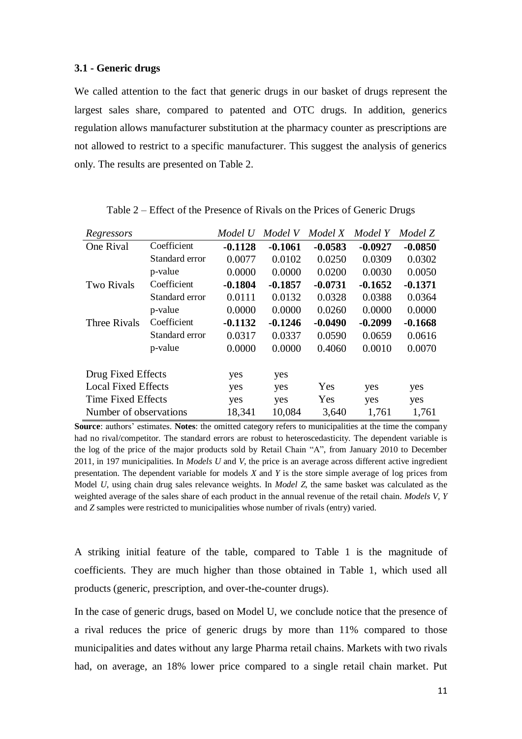#### **3.1 - Generic drugs**

We called attention to the fact that generic drugs in our basket of drugs represent the largest sales share, compared to patented and OTC drugs. In addition, generics regulation allows manufacturer substitution at the pharmacy counter as prescriptions are not allowed to restrict to a specific manufacturer. This suggest the analysis of generics only. The results are presented on Table 2.

| Regressors                 |                | Model U   | Model V   | Model X   | Model Y   | Model Z   |
|----------------------------|----------------|-----------|-----------|-----------|-----------|-----------|
| One Rival                  | Coefficient    | $-0.1128$ | $-0.1061$ | $-0.0583$ | $-0.0927$ | $-0.0850$ |
|                            | Standard error | 0.0077    | 0.0102    | 0.0250    | 0.0309    | 0.0302    |
|                            | p-value        | 0.0000    | 0.0000    | 0.0200    | 0.0030    | 0.0050    |
| <b>Two Rivals</b>          | Coefficient    | $-0.1804$ | $-0.1857$ | $-0.0731$ | $-0.1652$ | $-0.1371$ |
|                            | Standard error | 0.0111    | 0.0132    | 0.0328    | 0.0388    | 0.0364    |
|                            | p-value        | 0.0000    | 0.0000    | 0.0260    | 0.0000    | 0.0000    |
| Three Rivals               | Coefficient    | $-0.1132$ | $-0.1246$ | $-0.0490$ | $-0.2099$ | $-0.1668$ |
|                            | Standard error | 0.0317    | 0.0337    | 0.0590    | 0.0659    | 0.0616    |
|                            | p-value        | 0.0000    | 0.0000    | 0.4060    | 0.0010    | 0.0070    |
| Drug Fixed Effects         |                | yes       | yes       |           |           |           |
| <b>Local Fixed Effects</b> |                | yes       | yes       | Yes       | yes       | yes       |
| <b>Time Fixed Effects</b>  |                | yes       | yes       | Yes       | yes       | yes       |
| Number of observations     |                | 18,341    | 10,084    | 3,640     | 1,761     | 1,761     |

Table 2 – Effect of the Presence of Rivals on the Prices of Generic Drugs

**Source**: authors' estimates. **Notes**: the omitted category refers to municipalities at the time the company had no rival/competitor. The standard errors are robust to heteroscedasticity. The dependent variable is the log of the price of the major products sold by Retail Chain "A", from January 2010 to December 2011, in 197 municipalities. In *Models U* and *V*, the price is an average across different active ingredient presentation. The dependent variable for models *X* and *Y* is the store simple average of log prices from Model *U*, using chain drug sales relevance weights. In *Model Z*, the same basket was calculated as the weighted average of the sales share of each product in the annual revenue of the retail chain. *Models V, Y* and *Z* samples were restricted to municipalities whose number of rivals (entry) varied.

A striking initial feature of the table, compared to Table 1 is the magnitude of coefficients. They are much higher than those obtained in Table 1, which used all products (generic, prescription, and over-the-counter drugs).

In the case of generic drugs, based on Model U, we conclude notice that the presence of a rival reduces the price of generic drugs by more than 11% compared to those municipalities and dates without any large Pharma retail chains. Markets with two rivals had, on average, an 18% lower price compared to a single retail chain market. Put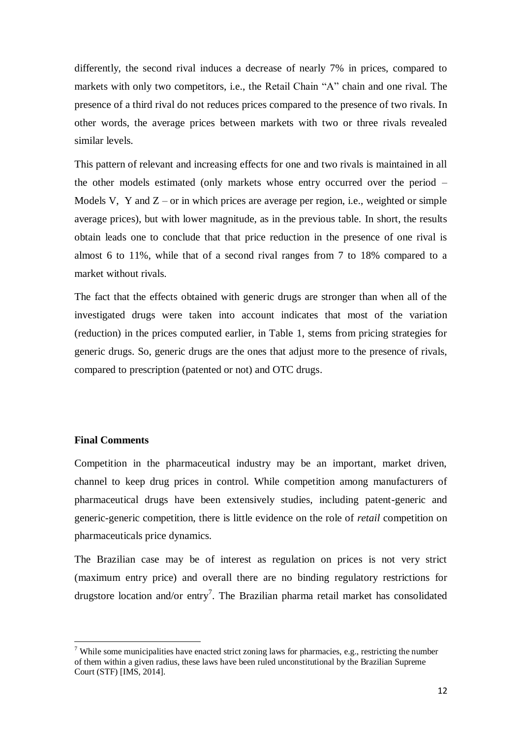differently, the second rival induces a decrease of nearly 7% in prices, compared to markets with only two competitors, i.e., the Retail Chain "A" chain and one rival. The presence of a third rival do not reduces prices compared to the presence of two rivals. In other words, the average prices between markets with two or three rivals revealed similar levels.

This pattern of relevant and increasing effects for one and two rivals is maintained in all the other models estimated (only markets whose entry occurred over the period – Models V, Y and  $Z$  – or in which prices are average per region, i.e., weighted or simple average prices), but with lower magnitude, as in the previous table. In short, the results obtain leads one to conclude that that price reduction in the presence of one rival is almost 6 to 11%, while that of a second rival ranges from 7 to 18% compared to a market without rivals.

The fact that the effects obtained with generic drugs are stronger than when all of the investigated drugs were taken into account indicates that most of the variation (reduction) in the prices computed earlier, in Table 1, stems from pricing strategies for generic drugs. So, generic drugs are the ones that adjust more to the presence of rivals, compared to prescription (patented or not) and OTC drugs.

# **Final Comments**

1

Competition in the pharmaceutical industry may be an important, market driven, channel to keep drug prices in control. While competition among manufacturers of pharmaceutical drugs have been extensively studies, including patent-generic and generic-generic competition, there is little evidence on the role of *retail* competition on pharmaceuticals price dynamics.

The Brazilian case may be of interest as regulation on prices is not very strict (maximum entry price) and overall there are no binding regulatory restrictions for drugstore location and/or entry<sup>7</sup>. The Brazilian pharma retail market has consolidated

<sup>&</sup>lt;sup>7</sup> While some municipalities have enacted strict zoning laws for pharmacies, e.g., restricting the number of them within a given radius, these laws have been ruled unconstitutional by the Brazilian Supreme Court (STF) [IMS, 2014].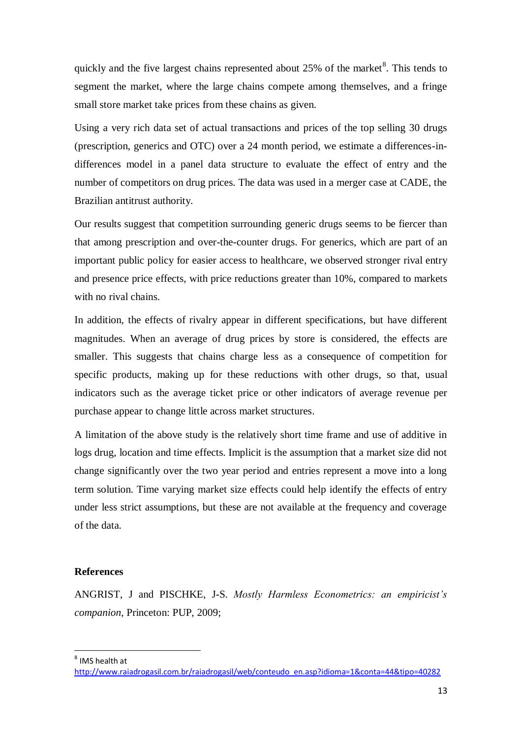quickly and the five largest chains represented about  $25\%$  of the market  $8$ . This tends to segment the market, where the large chains compete among themselves, and a fringe small store market take prices from these chains as given.

Using a very rich data set of actual transactions and prices of the top selling 30 drugs (prescription, generics and OTC) over a 24 month period, we estimate a differences-indifferences model in a panel data structure to evaluate the effect of entry and the number of competitors on drug prices. The data was used in a merger case at CADE, the Brazilian antitrust authority.

Our results suggest that competition surrounding generic drugs seems to be fiercer than that among prescription and over-the-counter drugs. For generics, which are part of an important public policy for easier access to healthcare, we observed stronger rival entry and presence price effects, with price reductions greater than 10%, compared to markets with no rival chains.

In addition, the effects of rivalry appear in different specifications, but have different magnitudes. When an average of drug prices by store is considered, the effects are smaller. This suggests that chains charge less as a consequence of competition for specific products, making up for these reductions with other drugs, so that, usual indicators such as the average ticket price or other indicators of average revenue per purchase appear to change little across market structures.

A limitation of the above study is the relatively short time frame and use of additive in logs drug, location and time effects. Implicit is the assumption that a market size did not change significantly over the two year period and entries represent a move into a long term solution. Time varying market size effects could help identify the effects of entry under less strict assumptions, but these are not available at the frequency and coverage of the data.

## **References**

ANGRIST, J and PISCHKE, J-S. *Mostly Harmless Econometrics: an empiricist's companion*, Princeton: PUP, 2009;

<sup>8</sup> IMS health at

[http://www.raiadrogasil.com.br/raiadrogasil/web/conteudo\\_en.asp?idioma=1&conta=44&tipo=40282](http://www.raiadrogasil.com.br/raiadrogasil/web/conteudo_en.asp?idioma=1&conta=44&tipo=40282)